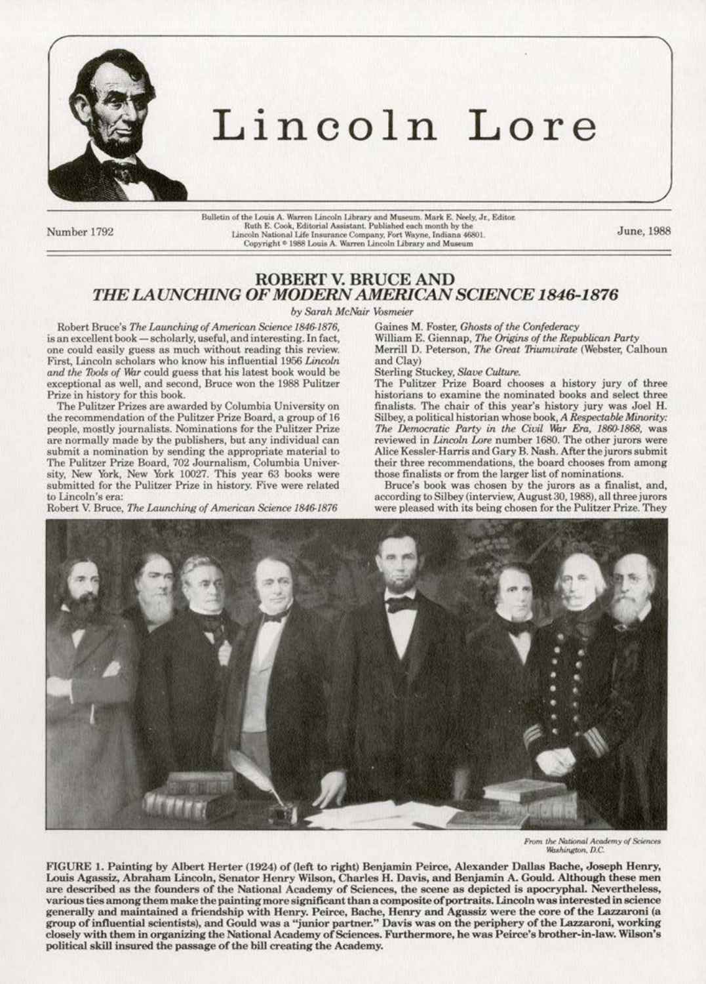

## Lincoln Lore

Number 1792

Bulletin of the Louis A. Warren Lincoln Library and Museum. Mark E. Neely, Jr., Editor. Ruth E. Cook, Editorial Assistant. Published each month by the Lincoln National Life Insurance Company, Fort Wayne, Indiana 46801<br>Copyright ® 1988 Louis A. Warren Lincoln Library and Museum

June, 1988

## **ROBERT V. BRUCE AND** THE LAUNCHING OF MODERN AMERICAN SCIENCE 1846-1876

by Sarah McNair Vosmeier

Robert Bruce's The Launching of American Science 1846-1876, is an excellent book - scholarly, useful, and interesting. In fact, one could easily guess as much without reading this review. First, Lincoln scholars who know his influential 1956 Lincoln and the Tools of War could guess that his latest book would be exceptional as well, and second, Bruce won the 1988 Pulitzer Prize in history for this book.

The Pulitzer Prizes are awarded by Columbia University on the recommendation of the Pulitzer Prize Board, a group of 16 people, mostly journalists. Nominations for the Pulitzer Prize are normally made by the publishers, but any individual can submit a nomination by sending the appropriate material to The Pulitzer Prize Board, 702 Journalism, Columbia University, New York, New York 10027. This year 63 books were submitted for the Pulitzer Prize in history. Five were related to Lincoln's era:

Robert V. Bruce, The Launching of American Science 1846-1876

Gaines M. Foster, Ghosts of the Confederacy

William E. Giennap, The Origins of the Republican Party Merrill D. Peterson, The Great Triumvirate (Webster, Calhoun and Clay

Sterling Stuckey, Slave Culture.

The Pulitzer Prize Board chooses a history jury of three historians to examine the nominated books and select three finalists. The chair of this year's history jury was Joel H. Silbey, a political historian whose book, A Respectable Minority: The Democratic Party in the Civil War Era, 1860-1868, was reviewed in Lincoln Lore number 1680. The other jurors were Alice Kessler-Harris and Gary B. Nash. After the jurors submit their three recommendations, the board chooses from among those finalists or from the larger list of nominations.

Bruce's book was chosen by the jurors as a finalist, and, according to Silbey (interview, August 30, 1988), all three jurors were pleased with its being chosen for the Pulitzer Prize. They



From the National Academy of Sciences Washington, D.C.

FIGURE 1. Painting by Albert Herter (1924) of (left to right) Benjamin Peirce, Alexander Dallas Bache, Joseph Henry, Louis Agassiz, Abraham Lincoln, Senator Henry Wilson, Charles H. Davis, and Benjamin A. Gould. Although these men are described as the founders of the National Academy of Sciences, the scene as depicted is apocryphal. Nevertheless, various ties among them make the painting more significant than a composite of portraits. Lincoln was interested in science generally and maintained a friendship with Henry. Peirce, Bache, Henry and Agassiz were the core of the Lazzaroni (a group of influential scientists), and Gould was a "junior partner." Davis was on the periphery of the Lazzaroni, working closely with them in organizing the National Academy of Sciences. Furthermore, he was Peirce's brother-in-law. Wilson's political skill insured the passage of the bill creating the Academy.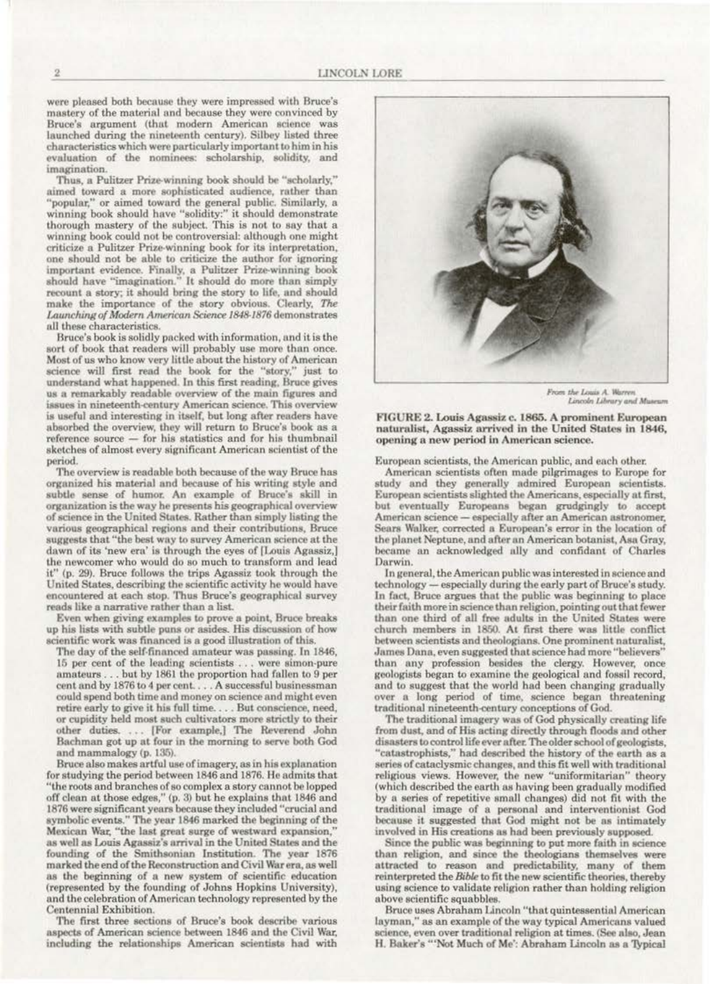were pleased both because they were impressed with Bruce's mastery of the material and because they were convinced by Bruce's argument (that modern American science was launched during the nineteenth century). Silbey listed three characteristics which were particularly important to him in his evaluation of the nominees: scholarship, solidity, and imagination.

Thus, a Pulitzer Prize-winning book should be "scholarly," aimed toward a more sophisticated audience, rather than "popular," or aimed toward the general public. Similarly, a winning book should have "solidity:" it should demonstrate thorough mastery of the subject. This is not to say that a winning book could not be controversial: although one might criticize a Pulitzer Prize-winning book for its interpretation, one should not be able to criticize the author for ignoring important evidence. Finally, a Pulitzer Prize-winning book should have "imagination." It should do more than simply recount a story; it should bring the story to life, and should make the importance of the story obvious. Clearly, The Launching of Modern American Science 1848-1876 demonstrates all these characteristics.

Bruce's book is solidly packed with information, and it is the sort of book that readers will probably use more than once. Most of us who know very little about the history of American science will first read the book for the "story," just to understand what happened. In this first reading, Bruce gives us a remarkably readable overview of the main figures and issues in nineteenth-century American science. This overview is useful and interesting in itself, but long after readers have absorbed the overview, they will return to Bruce's book as a reference source - for his statistics and for his thumbnail sketches of almost every significant American scientist of the period.

The overview is readable both because of the way Bruce has organized his material and because of his writing style and subtle sense of humor. An example of Bruce's skill in organization is the way he presents his geographical overview of science in the United States. Rather than simply listing the various geographical regions and their contributions. Bruce suggests that "the best way to survey American science at the dawn of its 'new era' is through the eyes of [Louis Agassiz,] the newcomer who would do so much to transform and lead it" (p. 29). Bruce follows the trips Agassiz took through the United States, describing the scientific activity he would have encountered at each stop. Thus Bruce's geographical survey reads like a narrative rather than a list.

Even when giving examples to prove a point, Bruce breaks up his lists with subtle puns or asides. His discussion of how scientific work was financed is a good illustration of this.

The day of the self-financed amateur was passing. In 1846, 15 per cent of the leading scientists ... were simon-pure amateurs . . . but by 1861 the proportion had fallen to 9 per cent and by 1876 to 4 per cent.... A successful businessman could spend both time and money on science and might even retire early to give it his full time.... But conscience, need, or cupidity held most such cultivators more strictly to their other duties. ... [For example,] The Reverend John Bachman got up at four in the morning to serve both God and mammalogy (p. 135).

Bruce also makes artful use of imagery, as in his explanation for studying the period between 1846 and 1876. He admits that "the roots and branches of so complex a story cannot be lopped off clean at those edges," (p. 3) but he explains that 1846 and 1876 were significant years because they included "crucial and symbolic events." The year 1846 marked the beginning of the Mexican War, "the last great surge of westward expansion," as well as Louis Agassiz's arrival in the United States and the founding of the Smithsonian Institution. The year 1876 marked the end of the Reconstruction and Civil War era, as well as the beginning of a new system of scientific education (represented by the founding of Johns Hopkins University), and the celebration of American technology represented by the Centennial Exhibition.

The first three sections of Bruce's book describe various aspects of American science between 1846 and the Civil War, including the relationships American scientists had with



From the Louis A. Warren<br>Lincoln Library and Museum

FIGURE 2. Louis Agassiz c. 1865. A prominent European naturalist, Agassiz arrived in the United States in 1846, opening a new period in American science.

European scientists, the American public, and each other.

American scientists often made pilgrimages to Europe for study and they generally admired European scientists. European scientists slighted the Americans, especially at first, but eventually Europeans began grudgingly to accept American science - especially after an American astronomer, Sears Walker, corrected a European's error in the location of the planet Neptune, and after an American botanist, Asa Gray, became an acknowledged ally and confidant of Charles Darwin.

In general, the American public was interested in science and technology - especially during the early part of Bruce's study. In fact, Bruce argues that the public was beginning to place their faith more in science than religion, pointing out that fewer than one third of all free adults in the United States were church members in 1850. At first there was little conflict between scientists and theologians. One prominent naturalist, James Dana, even suggested that science had more "believers" than any profession besides the clergy. However, once geologists began to examine the geological and fossil record, and to suggest that the world had been changing gradually over a long period of time, science began threatening traditional nineteenth-century conceptions of God.

The traditional imagery was of God physically creating life from dust, and of His acting directly through floods and other disasters to control life ever after. The older school of geologists, 'catastrophists," had described the history of the earth as a series of cataclysmic changes, and this fit well with traditional religious views. However, the new "uniformitarian" theory (which described the earth as having been gradually modified by a series of repetitive small changes) did not fit with the traditional image of a personal and interventionist God because it suggested that God might not be as intimately involved in His creations as had been previously supposed.

Since the public was beginning to put more faith in science than religion, and since the theologians themselves were attracted to reason and predictability, many of them reinterpreted the Bible to fit the new scientific theories, thereby using science to validate religion rather than holding religion above scientific squabbles.

Bruce uses Abraham Lincoln "that quintessential American layman," as an example of the way typical Americans valued science, even over traditional religion at times. (See also, Jean H. Baker's "'Not Much of Me': Abraham Lincoln as a Typical

 $\mathbf{2}$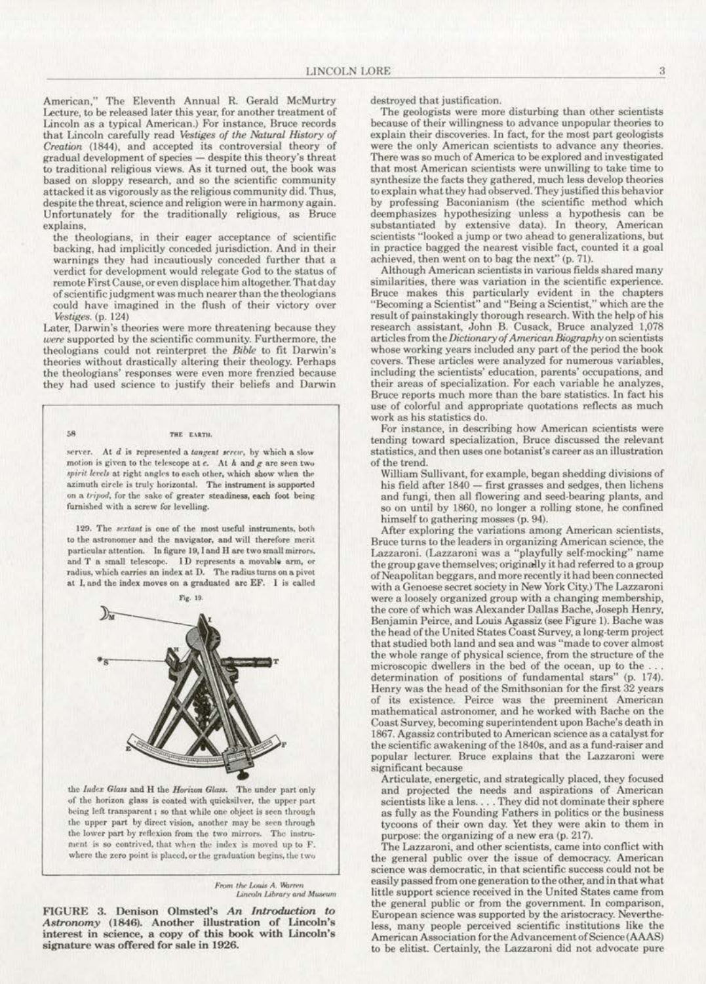American," The Eleventh Annual R. Gerald McMurtry Lecture, to be released later this year, for another treatment of Lincoln as a typical American.) For instance, Bruce records that Lincoln carefully read Vestiges of the Natural History of Creation (1844), and accepted its controversial theory of gradual development of species — despite this theory's threat<br>to traditional religious views. As it turned out, the book was based on sloppy research, and so the scientific community attacked it as vigorously as the religious community did. Thus, despite the threat, science and religion were in harmony again. Unfortunately for the traditionally religious, as Bruce explains,

the theologians, in their eager acceptance of scientific backing, had implicitly conceded jurisdiction. And in their warnings they had incautiously conceded further that a verdict for development would relegate God to the status of remote First Cause, or even displace him altogether. That day of scientific judgment was much nearer than the theologians could have imagined in the flush of their victory over Vestiges. (p. 124)

Later, Darwin's theories were more threatening because they were supported by the scientific community. Furthermore, the theologians could not reinterpret the Bible to fit Darwin's theories without drastically altering their theology. Perhaps the theologians' responses were even more frenzied because they had used science to justify their beliefs and Darwin

## THE EARTH.

58

server. At d is represented a tangent sercu, by which a slow motion is given to the telescope at  $c$ . At  $h$  and  $g$  are seen two spirit levels at right angles to each other, which show when the azimuth circle is truly horizontal. The instrument is supported on a tripod, for the sake of greater steadiness, each foot being furnished with a screw for levelling.

129. The sextant is one of the most useful instruments, both to the astronomer and the navigator, and will therefore merit particular attention. In figure 19, I and H are two small mirrors. and T a small telescope. ID represents a movable arm, or radius, which carries an index at D. The radius turns on a pivot at I, and the index moves on a graduated arc EF. I is called



the Index Glass and H the Horiton Glass. The under part only of the horizon glass is coated with quicksilver, the upper part being left transparent ; so that while one object is seen through the upper part by direct vision, another may be seen through the lower part by reflexion from the two mirrors. The instrument is so contrived, that when the index is moved up to F. where the zero point is placed, or the graduation begins, the two

> From the Louis A. Warren Lincoln Library and Museum

FIGURE 3. Denison Olmsted's An Introduction to Astronomy (1846). Another illustration of Lincoln's interest in science, a copy of this book with Lincoln's signature was offered for sale in 1926.

destroyed that justification.

The geologists were more disturbing than other scientists because of their willingness to advance unpopular theories to explain their discoveries. In fact, for the most part geologists were the only American scientists to advance any theories. There was so much of America to be explored and investigated that most American scientists were unwilling to take time to synthesize the facts they gathered, much less develop theories to explain what they had observed. They justified this behavior by professing Baconianism (the scientific method which deemphasizes hypothesizing unless a hypothesis can be substantiated by extensive data). In theory, American scientists "looked a jump or two ahead to generalizations, but in practice bagged the nearest visible fact, counted it a goal achieved, then went on to bag the next" (p. 71).

Although American scientists in various fields shared many similarities, there was variation in the scientific experience. Bruce makes this particularly evident in the chapters "Becoming a Scientist" and "Being a Scientist," which are the result of painstakingly thorough research. With the help of his research assistant, John B. Cusack, Bruce analyzed 1,078 articles from the Dictionary of American Biography on scientists whose working years included any part of the period the book covers. These articles were analyzed for numerous variables, including the scientists' education, parents' occupations, and their areas of specialization. For each variable he analyzes, Bruce reports much more than the bare statistics. In fact his use of colorful and appropriate quotations reflects as much work as his statistics do.

For instance, in describing how American scientists were tending toward specialization. Bruce discussed the relevant statistics, and then uses one botanist's career as an illustration of the trend.

William Sullivant, for example, began shedding divisions of his field after 1840 - first grasses and sedges, then lichens and fungi, then all flowering and seed-bearing plants, and so on until by 1860, no longer a rolling stone, he confined himself to gathering mosses (p. 94).

After exploring the variations among American scientists, Bruce turns to the leaders in organizing American science, the Lazzaroni. (Lazzaroni was a "playfully self-mocking" name the group gave themselves; originally it had referred to a group of Neapolitan beggars, and more recently it had been connected with a Genoese secret society in New York City.) The Lazzaroni were a loosely organized group with a changing membership, the core of which was Alexander Dallas Bache, Joseph Henry, Benjamin Peirce, and Louis Agassiz (see Figure 1). Bache was the head of the United States Coast Survey, a long-term project that studied both land and sea and was "made to cover almost the whole range of physical science, from the structure of the microscopic dwellers in the bed of the ocean, up to the. determination of positions of fundamental stars" (p. 174). Henry was the head of the Smithsonian for the first 32 years of its existence. Peirce was the preeminent American mathematical astronomer, and he worked with Bache on the Coast Survey, becoming superintendent upon Bache's death in 1867. Agassiz contributed to American science as a catalyst for the scientific awakening of the 1840s, and as a fund-raiser and popular lecturer. Bruce explains that the Lazzaroni were significant because

Articulate, energetic, and strategically placed, they focused and projected the needs and aspirations of American scientists like a lens. . . . They did not dominate their sphere as fully as the Founding Fathers in politics or the business tycoons of their own day. Yet they were akin to them in purpose: the organizing of a new era (p. 217).

The Lazzaroni, and other scientists, came into conflict with the general public over the issue of democracy. American science was democratic, in that scientific success could not be easily passed from one generation to the other, and in that what little support science received in the United States came from the general public or from the government. In comparison, European science was supported by the aristocracy. Nevertheless, many people perceived scientific institutions like the American Association for the Advancement of Science (AAAS) to be elitist. Certainly, the Lazzaroni did not advocate pure